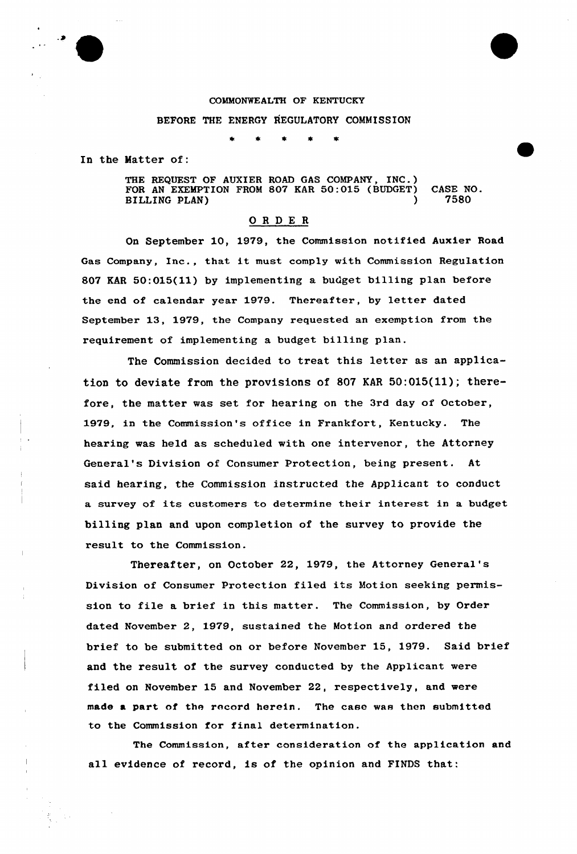

## COMMONWEALTH OF KENTUCKY

## BEFORE THE ENERGY REGULATORY COMMISSION

In the Matter of:

THE REQUEST OF AUXIER ROAD GAS COMPANY, INC.) FOR AN EXEMPTION FROM 807 KAR 50:015 (BUDGET) CASE NO.<br>BILLING PLAN) 7580 BILLING PLAN)

## 0 <sup>R</sup> <sup>D</sup> E <sup>R</sup>

On September 10, 19?9, the Commission notified Auxier Road Gas Company, Inc., that it must comply with Commission Regulation 807 EAR 50:015(11) by implementing a budget billing plan before the end of calendar year 1979. Thereafter, by letter dated September 13, 1979, the Company requested an exemption from the requirement of implementing a budget billing plan.

The Commission decided to treat this letter as an application to deviate from the provisions of 807 KAR  $50:015(11)$ ; therefore, the matter was set for hearing on the 3rd day of October, 1979. in the Commission's office in Frankfort, Kentucky. The hearing was held as scheduled with one intervenor, the Attorney General's Division of Consumer Protection, being present. At said hearing, the Commission instructed the Applicant to conduct a survey of its customers to determine their interest in a budget billing plan and upon completion of the survey to provide the result to the Commission.

Thereafter, on October 22, 1979, the Attorney General' Division of Consumer Protection filed its Motion seeking permission to file a brief in this matter. The Commission, by Order dated November 2, 1979, sustained the Motion and ordered the brief to be submitted on or before November 15, 1979. Said brief and the result of the survey conducted by the Applicant were filed on November 15 and November 22, respectively, and were made a part of the record herein. The case was then submitted to the Commission for final determination.

The Commission, after consideration of the application and all evidence of record, is of the opinion and FINDS that: